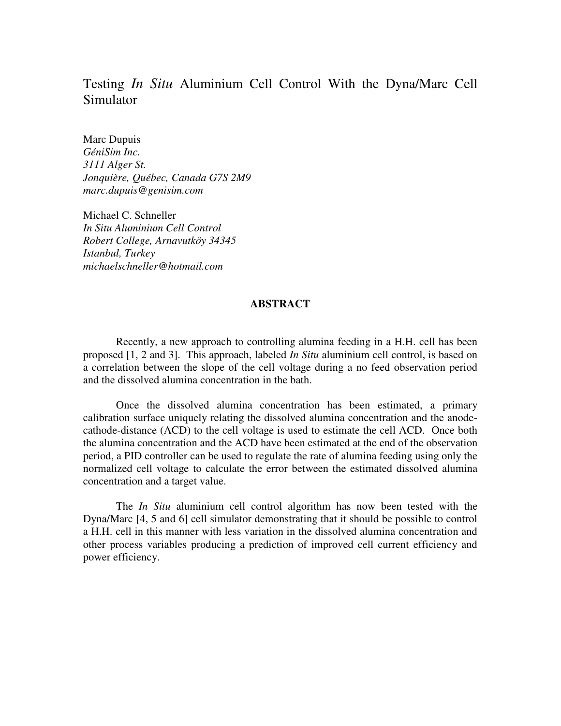# Testing *In Situ* Aluminium Cell Control With the Dyna/Marc Cell Simulator

Marc Dupuis *GéniSim Inc. 3111 Alger St. Jonquière, Québec, Canada G7S 2M9 marc.dupuis@genisim.com* 

Michael C. Schneller *In Situ Aluminium Cell Control Robert College, Arnavutköy 34345 Istanbul, Turkey michaelschneller@hotmail.com* 

# **ABSTRACT**

Recently, a new approach to controlling alumina feeding in a H.H. cell has been proposed [1, 2 and 3]. This approach, labeled *In Situ* aluminium cell control, is based on a correlation between the slope of the cell voltage during a no feed observation period and the dissolved alumina concentration in the bath.

Once the dissolved alumina concentration has been estimated, a primary calibration surface uniquely relating the dissolved alumina concentration and the anodecathode-distance (ACD) to the cell voltage is used to estimate the cell ACD. Once both the alumina concentration and the ACD have been estimated at the end of the observation period, a PID controller can be used to regulate the rate of alumina feeding using only the normalized cell voltage to calculate the error between the estimated dissolved alumina concentration and a target value.

The *In Situ* aluminium cell control algorithm has now been tested with the Dyna/Marc [4, 5 and 6] cell simulator demonstrating that it should be possible to control a H.H. cell in this manner with less variation in the dissolved alumina concentration and other process variables producing a prediction of improved cell current efficiency and power efficiency.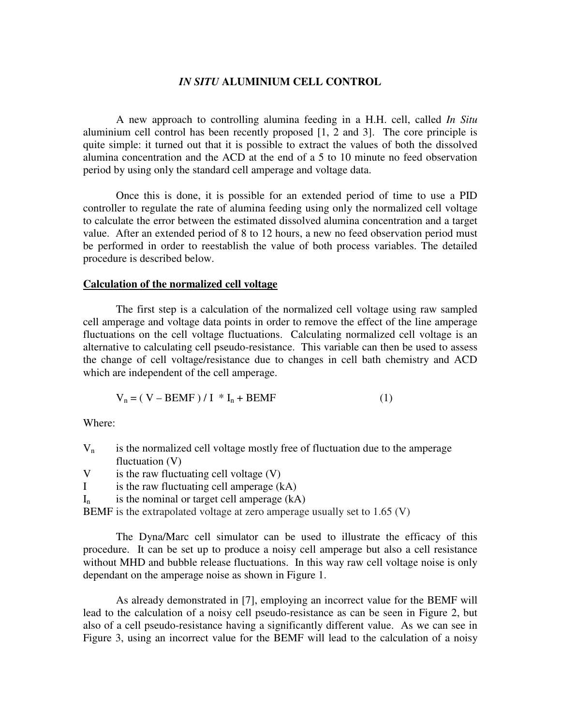# *IN SITU* **ALUMINIUM CELL CONTROL**

A new approach to controlling alumina feeding in a H.H. cell, called *In Situ* aluminium cell control has been recently proposed [1, 2 and 3]. The core principle is quite simple: it turned out that it is possible to extract the values of both the dissolved alumina concentration and the ACD at the end of a 5 to 10 minute no feed observation period by using only the standard cell amperage and voltage data.

Once this is done, it is possible for an extended period of time to use a PID controller to regulate the rate of alumina feeding using only the normalized cell voltage to calculate the error between the estimated dissolved alumina concentration and a target value. After an extended period of 8 to 12 hours, a new no feed observation period must be performed in order to reestablish the value of both process variables. The detailed procedure is described below.

# **Calculation of the normalized cell voltage**

The first step is a calculation of the normalized cell voltage using raw sampled cell amperage and voltage data points in order to remove the effect of the line amperage fluctuations on the cell voltage fluctuations. Calculating normalized cell voltage is an alternative to calculating cell pseudo-resistance. This variable can then be used to assess the change of cell voltage/resistance due to changes in cell bath chemistry and ACD which are independent of the cell amperage.

$$
V_n = (V - BEMF) / I * I_n + BEMF
$$
 (1)

Where:

- $V_n$  is the normalized cell voltage mostly free of fluctuation due to the amperage fluctuation  $(V)$
- V is the raw fluctuating cell voltage (V)
- I is the raw fluctuating cell amperage (kA)
- $I_n$  is the nominal or target cell amperage (kA)

BEMF is the extrapolated voltage at zero amperage usually set to 1.65 (V)

The Dyna/Marc cell simulator can be used to illustrate the efficacy of this procedure. It can be set up to produce a noisy cell amperage but also a cell resistance without MHD and bubble release fluctuations. In this way raw cell voltage noise is only dependant on the amperage noise as shown in Figure 1.

As already demonstrated in [7], employing an incorrect value for the BEMF will lead to the calculation of a noisy cell pseudo-resistance as can be seen in Figure 2, but also of a cell pseudo-resistance having a significantly different value. As we can see in Figure 3, using an incorrect value for the BEMF will lead to the calculation of a noisy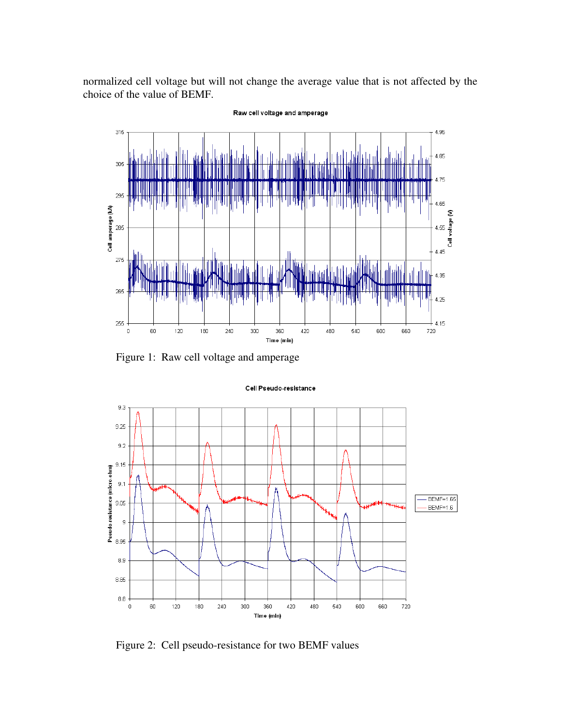normalized cell voltage but will not change the average value that is not affected by the choice of the value of BEMF.



Figure 1: Raw cell voltage and amperage

### Cell Pseudo-resistance



Figure 2: Cell pseudo-resistance for two BEMF values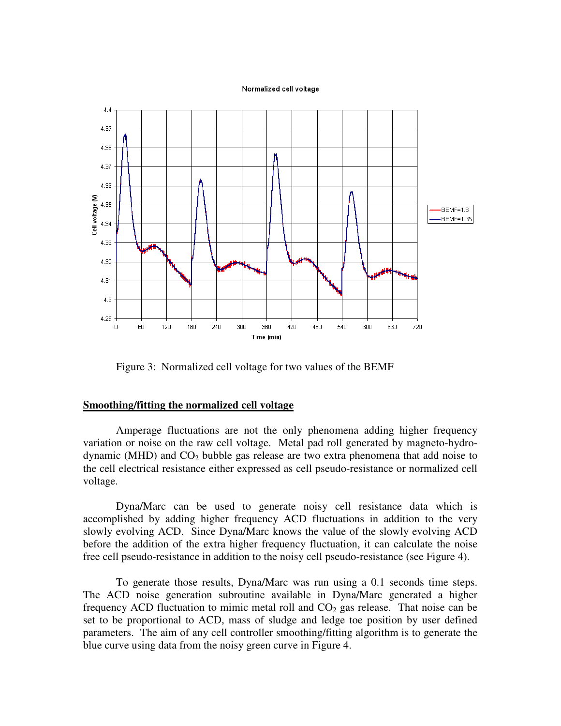#### Normalized cell voltage



Figure 3: Normalized cell voltage for two values of the BEMF

# **Smoothing/fitting the normalized cell voltage**

Amperage fluctuations are not the only phenomena adding higher frequency variation or noise on the raw cell voltage. Metal pad roll generated by magneto-hydrodynamic (MHD) and  $CO<sub>2</sub>$  bubble gas release are two extra phenomena that add noise to the cell electrical resistance either expressed as cell pseudo-resistance or normalized cell voltage.

Dyna/Marc can be used to generate noisy cell resistance data which is accomplished by adding higher frequency ACD fluctuations in addition to the very slowly evolving ACD. Since Dyna/Marc knows the value of the slowly evolving ACD before the addition of the extra higher frequency fluctuation, it can calculate the noise free cell pseudo-resistance in addition to the noisy cell pseudo-resistance (see Figure 4).

To generate those results, Dyna/Marc was run using a 0.1 seconds time steps. The ACD noise generation subroutine available in Dyna/Marc generated a higher frequency ACD fluctuation to mimic metal roll and  $CO<sub>2</sub>$  gas release. That noise can be set to be proportional to ACD, mass of sludge and ledge toe position by user defined parameters. The aim of any cell controller smoothing/fitting algorithm is to generate the blue curve using data from the noisy green curve in Figure 4.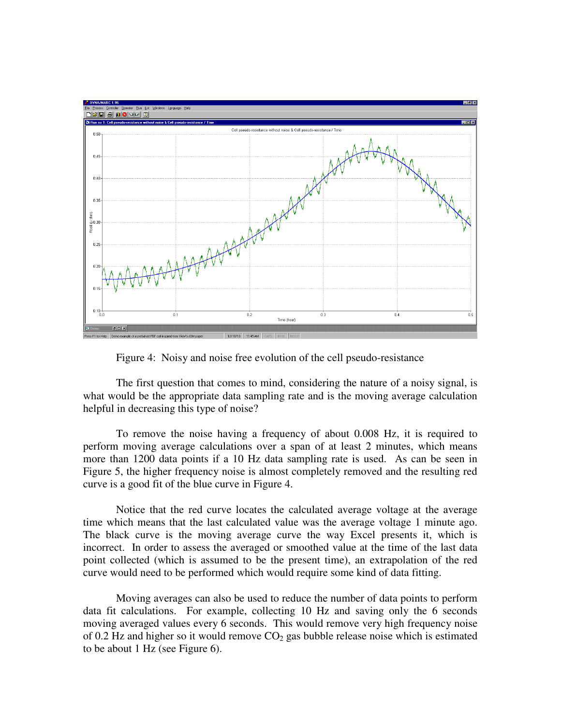

Figure 4: Noisy and noise free evolution of the cell pseudo-resistance

The first question that comes to mind, considering the nature of a noisy signal, is what would be the appropriate data sampling rate and is the moving average calculation helpful in decreasing this type of noise?

To remove the noise having a frequency of about 0.008 Hz, it is required to perform moving average calculations over a span of at least 2 minutes, which means more than 1200 data points if a 10 Hz data sampling rate is used. As can be seen in Figure 5, the higher frequency noise is almost completely removed and the resulting red curve is a good fit of the blue curve in Figure 4.

Notice that the red curve locates the calculated average voltage at the average time which means that the last calculated value was the average voltage 1 minute ago. The black curve is the moving average curve the way Excel presents it, which is incorrect. In order to assess the averaged or smoothed value at the time of the last data point collected (which is assumed to be the present time), an extrapolation of the red curve would need to be performed which would require some kind of data fitting.

Moving averages can also be used to reduce the number of data points to perform data fit calculations. For example, collecting 10 Hz and saving only the 6 seconds moving averaged values every 6 seconds. This would remove very high frequency noise of 0.2 Hz and higher so it would remove  $CO<sub>2</sub>$  gas bubble release noise which is estimated to be about 1 Hz (see Figure 6).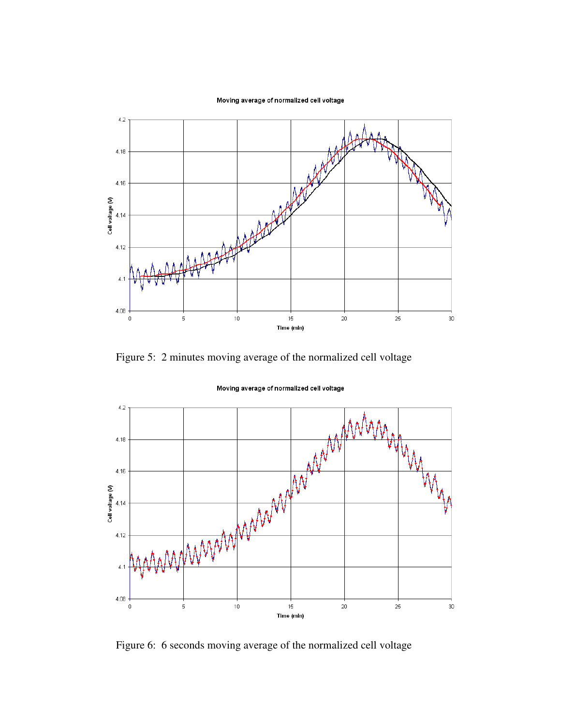



Figure 5: 2 minutes moving average of the normalized cell voltage



Moving average of normalized cell voltage

Figure 6: 6 seconds moving average of the normalized cell voltage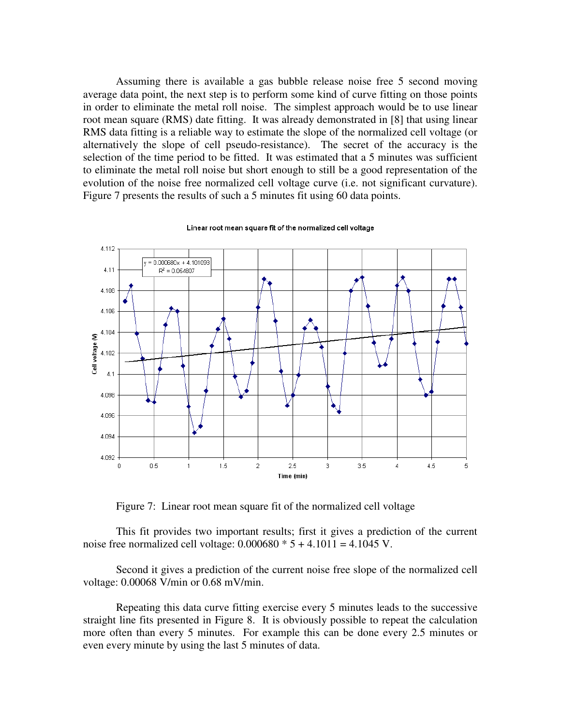Assuming there is available a gas bubble release noise free 5 second moving average data point, the next step is to perform some kind of curve fitting on those points in order to eliminate the metal roll noise. The simplest approach would be to use linear root mean square (RMS) date fitting. It was already demonstrated in [8] that using linear RMS data fitting is a reliable way to estimate the slope of the normalized cell voltage (or alternatively the slope of cell pseudo-resistance). The secret of the accuracy is the selection of the time period to be fitted. It was estimated that a 5 minutes was sufficient to eliminate the metal roll noise but short enough to still be a good representation of the evolution of the noise free normalized cell voltage curve (i.e. not significant curvature). Figure 7 presents the results of such a 5 minutes fit using 60 data points.



Linear root mean square fit of the normalized cell voltage

Figure 7: Linear root mean square fit of the normalized cell voltage

This fit provides two important results; first it gives a prediction of the current noise free normalized cell voltage:  $0.000680 * 5 + 4.1011 = 4.1045$  V.

Second it gives a prediction of the current noise free slope of the normalized cell voltage: 0.00068 V/min or 0.68 mV/min.

Repeating this data curve fitting exercise every 5 minutes leads to the successive straight line fits presented in Figure 8. It is obviously possible to repeat the calculation more often than every 5 minutes. For example this can be done every 2.5 minutes or even every minute by using the last 5 minutes of data.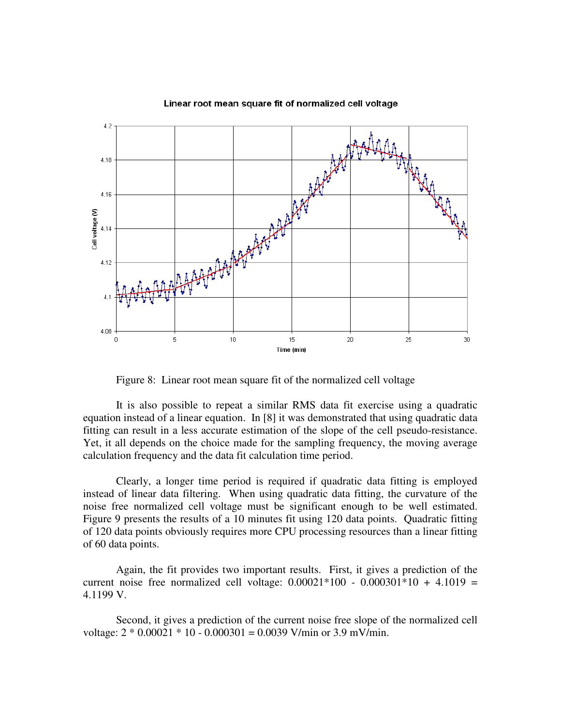

### Linear root mean square fit of normalized cell voltage

Figure 8: Linear root mean square fit of the normalized cell voltage

It is also possible to repeat a similar RMS data fit exercise using a quadratic equation instead of a linear equation. In [8] it was demonstrated that using quadratic data fitting can result in a less accurate estimation of the slope of the cell pseudo-resistance. Yet, it all depends on the choice made for the sampling frequency, the moving average calculation frequency and the data fit calculation time period.

Clearly, a longer time period is required if quadratic data fitting is employed instead of linear data filtering. When using quadratic data fitting, the curvature of the noise free normalized cell voltage must be significant enough to be well estimated. Figure 9 presents the results of a 10 minutes fit using 120 data points. Quadratic fitting of 120 data points obviously requires more CPU processing resources than a linear fitting of 60 data points.

Again, the fit provides two important results. First, it gives a prediction of the current noise free normalized cell voltage:  $0.00021*100 - 0.000301*10 + 4.1019 =$ 4.1199 V.

Second, it gives a prediction of the current noise free slope of the normalized cell voltage:  $2 * 0.00021 * 10 - 0.000301 = 0.0039$  V/min or 3.9 mV/min.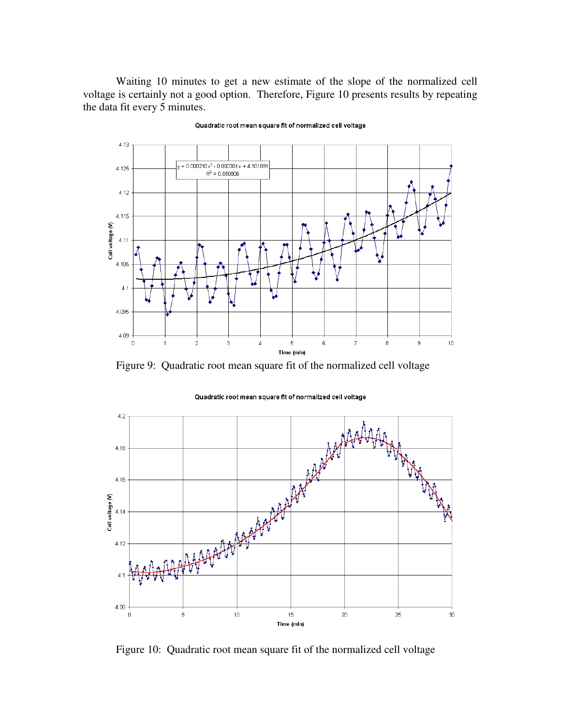Waiting 10 minutes to get a new estimate of the slope of the normalized cell voltage is certainly not a good option. Therefore, Figure 10 presents results by repeating the data fit every 5 minutes.



### Quadratic root mean square fit of normalized cell voltage

Figure 9: Quadratic root mean square fit of the normalized cell voltage



Quadratic root mean square fit of normalized cell voltage

Figure 10: Quadratic root mean square fit of the normalized cell voltage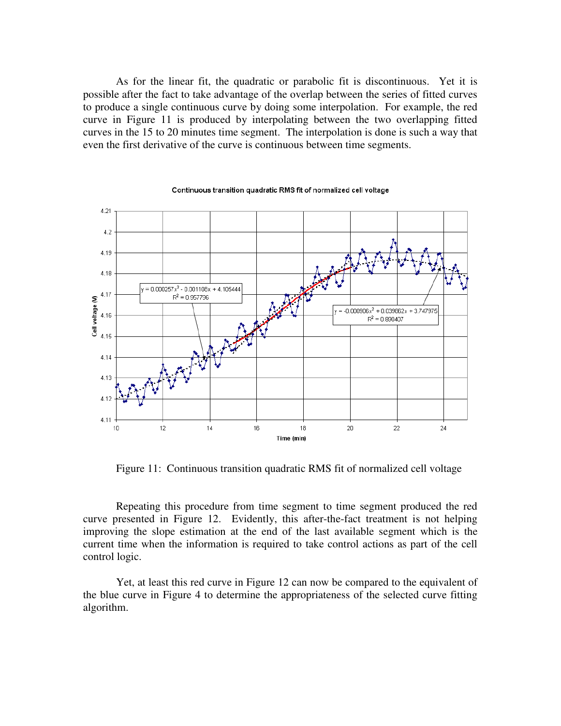As for the linear fit, the quadratic or parabolic fit is discontinuous. Yet it is possible after the fact to take advantage of the overlap between the series of fitted curves to produce a single continuous curve by doing some interpolation. For example, the red curve in Figure 11 is produced by interpolating between the two overlapping fitted curves in the 15 to 20 minutes time segment. The interpolation is done is such a way that even the first derivative of the curve is continuous between time segments.



Continuous transition quadratic RMS fit of normalized cell voltage

Figure 11: Continuous transition quadratic RMS fit of normalized cell voltage

Repeating this procedure from time segment to time segment produced the red curve presented in Figure 12. Evidently, this after-the-fact treatment is not helping improving the slope estimation at the end of the last available segment which is the current time when the information is required to take control actions as part of the cell control logic.

Yet, at least this red curve in Figure 12 can now be compared to the equivalent of the blue curve in Figure 4 to determine the appropriateness of the selected curve fitting algorithm.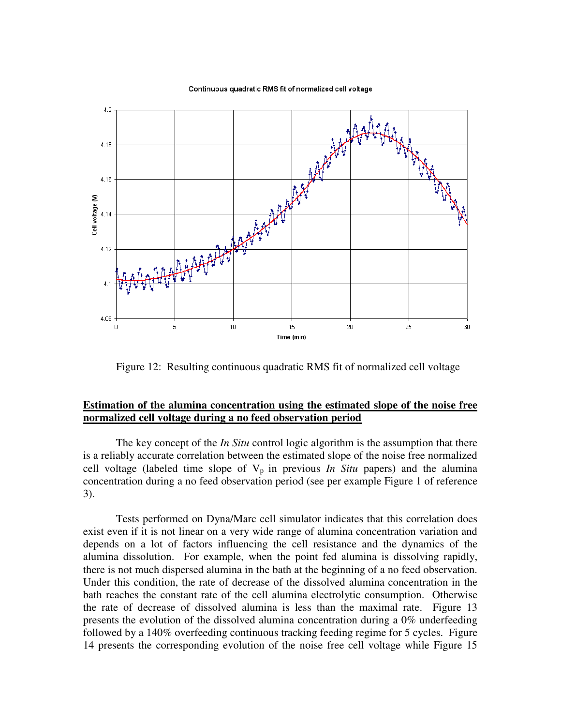#### Continuous quadratic RMS fit of normalized cell voltage



Figure 12: Resulting continuous quadratic RMS fit of normalized cell voltage

# **Estimation of the alumina concentration using the estimated slope of the noise free normalized cell voltage during a no feed observation period**

The key concept of the *In Situ* control logic algorithm is the assumption that there is a reliably accurate correlation between the estimated slope of the noise free normalized cell voltage (labeled time slope of  $V_p$  in previous *In Situ* papers) and the alumina concentration during a no feed observation period (see per example Figure 1 of reference 3).

Tests performed on Dyna/Marc cell simulator indicates that this correlation does exist even if it is not linear on a very wide range of alumina concentration variation and depends on a lot of factors influencing the cell resistance and the dynamics of the alumina dissolution. For example, when the point fed alumina is dissolving rapidly, there is not much dispersed alumina in the bath at the beginning of a no feed observation. Under this condition, the rate of decrease of the dissolved alumina concentration in the bath reaches the constant rate of the cell alumina electrolytic consumption. Otherwise the rate of decrease of dissolved alumina is less than the maximal rate. Figure 13 presents the evolution of the dissolved alumina concentration during a 0% underfeeding followed by a 140% overfeeding continuous tracking feeding regime for 5 cycles. Figure 14 presents the corresponding evolution of the noise free cell voltage while Figure 15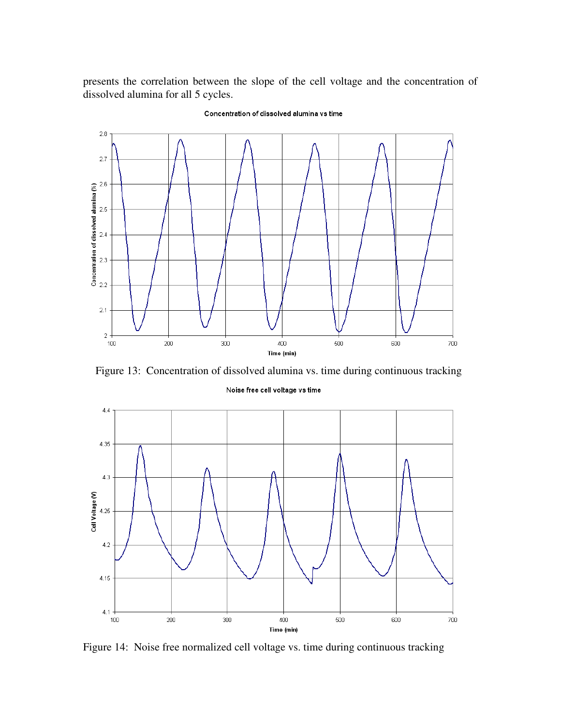presents the correlation between the slope of the cell voltage and the concentration of dissolved alumina for all 5 cycles.



### Concentration of dissolved alumina vs time

Figure 13: Concentration of dissolved alumina vs. time during continuous tracking

### Noise free cell voltage vs time



Figure 14: Noise free normalized cell voltage vs. time during continuous tracking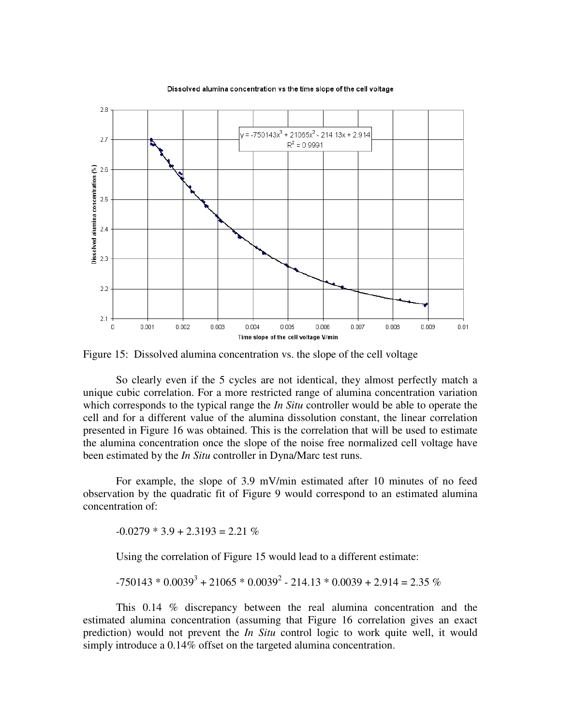

Dissolved alumina concentration vs the time slope of the cell voltage

Figure 15: Dissolved alumina concentration vs. the slope of the cell voltage

So clearly even if the 5 cycles are not identical, they almost perfectly match a unique cubic correlation. For a more restricted range of alumina concentration variation which corresponds to the typical range the *In Situ* controller would be able to operate the cell and for a different value of the alumina dissolution constant, the linear correlation presented in Figure 16 was obtained. This is the correlation that will be used to estimate the alumina concentration once the slope of the noise free normalized cell voltage have been estimated by the *In Situ* controller in Dyna/Marc test runs.

For example, the slope of 3.9 mV/min estimated after 10 minutes of no feed observation by the quadratic fit of Figure 9 would correspond to an estimated alumina concentration of:

 $-0.0279 * 3.9 + 2.3193 = 2.21\%$ 

Using the correlation of Figure 15 would lead to a different estimate:

$$
-750143 * 0.00393 + 21065 * 0.00392 - 214.13 * 0.0039 + 2.914 = 2.35 %
$$

This 0.14 % discrepancy between the real alumina concentration and the estimated alumina concentration (assuming that Figure 16 correlation gives an exact prediction) would not prevent the *In Situ* control logic to work quite well, it would simply introduce a 0.14% offset on the targeted alumina concentration.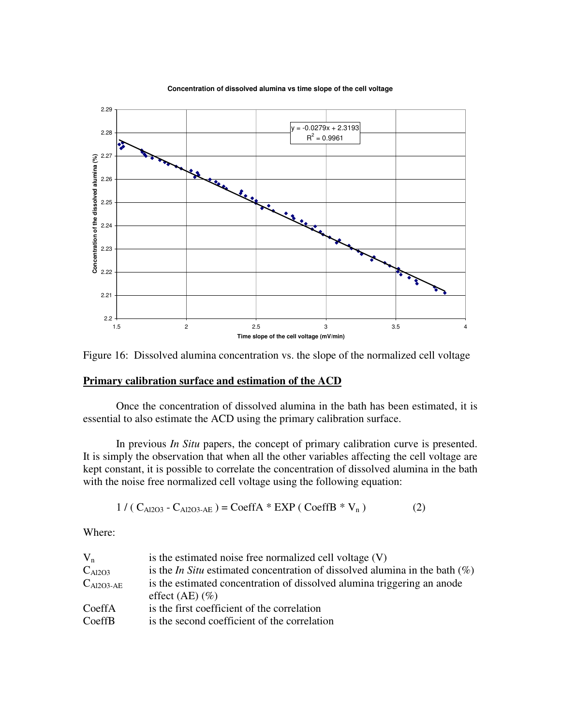

**Concentration of dissolved alumina vs time slope of the cell voltage**

Figure 16: Dissolved alumina concentration vs. the slope of the normalized cell voltage

# **Primary calibration surface and estimation of the ACD**

Once the concentration of dissolved alumina in the bath has been estimated, it is essential to also estimate the ACD using the primary calibration surface.

In previous *In Situ* papers, the concept of primary calibration curve is presented. It is simply the observation that when all the other variables affecting the cell voltage are kept constant, it is possible to correlate the concentration of dissolved alumina in the bath with the noise free normalized cell voltage using the following equation:

$$
1 / (C_{A12O3} - C_{A12O3 \text{-AE}}) = \text{CoeffA} * \text{EXP} ( \text{CoeffB} * V_n )
$$
 (2)

Where:

| $V_{n}$               | is the estimated noise free normalized cell voltage (V)                               |
|-----------------------|---------------------------------------------------------------------------------------|
| $C_{Al2O3}$           | is the <i>In Situ</i> estimated concentration of dissolved alumina in the bath $(\%)$ |
| $C_{\text{Al2O3-AE}}$ | is the estimated concentration of dissolved alumina triggering an anode               |
|                       | effect $(AE)$ $(\%)$                                                                  |
| CoeffA                | is the first coefficient of the correlation                                           |
| CoeffB                | is the second coefficient of the correlation                                          |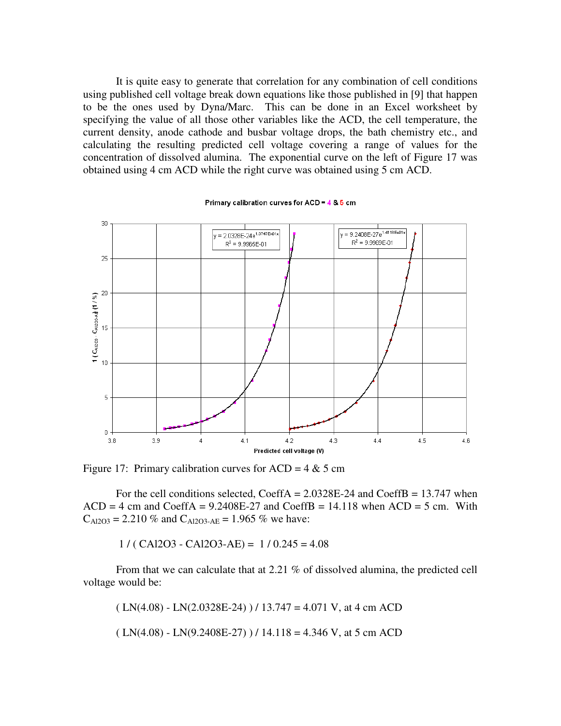It is quite easy to generate that correlation for any combination of cell conditions using published cell voltage break down equations like those published in [9] that happen to be the ones used by Dyna/Marc. This can be done in an Excel worksheet by specifying the value of all those other variables like the ACD, the cell temperature, the current density, anode cathode and busbar voltage drops, the bath chemistry etc., and calculating the resulting predicted cell voltage covering a range of values for the concentration of dissolved alumina. The exponential curve on the left of Figure 17 was obtained using 4 cm ACD while the right curve was obtained using 5 cm ACD.



Primary calibration curves for ACD = 4 & 5 cm

Figure 17: Primary calibration curves for  $ACD = 4 \& 5 \text{ cm}$ 

For the cell conditions selected, CoeffA =  $2.0328E-24$  and CoeffB = 13.747 when  $ACD = 4$  cm and  $CoeffA = 9.2408E-27$  and  $CoeffB = 14.118$  when  $ACD = 5$  cm. With  $C_{\text{Al2O3}} = 2.210 \%$  and  $C_{\text{Al2O3-AE}} = 1.965 \%$  we have:

 $1 / ( CAI2O3 - CAI2O3 - AE) = 1 / 0.245 = 4.08$ 

From that we can calculate that at 2.21 % of dissolved alumina, the predicted cell voltage would be:

 $(LN(4.08) - LN(2.0328E-24)$   $)/ 13.747 = 4.071 V$ , at 4 cm ACD

 $(LN(4.08) - LN(9.2408E-27))$  / 14.118 = 4.346 V, at 5 cm ACD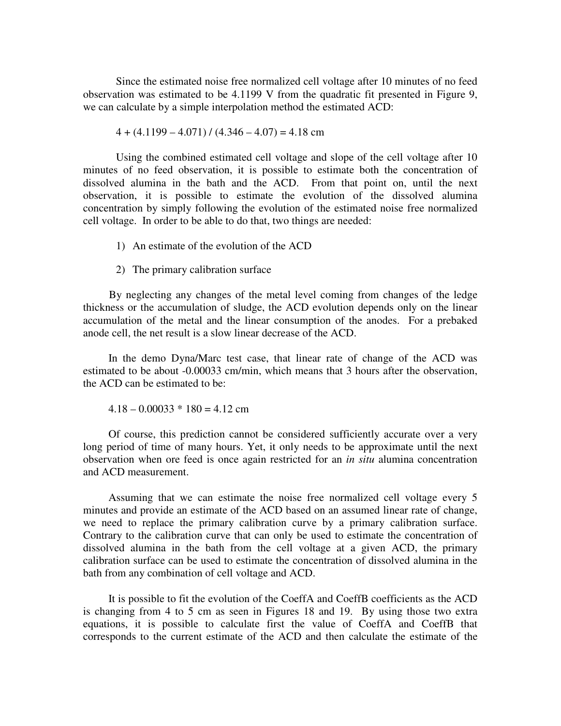Since the estimated noise free normalized cell voltage after 10 minutes of no feed observation was estimated to be 4.1199 V from the quadratic fit presented in Figure 9, we can calculate by a simple interpolation method the estimated ACD:

$$
4 + (4.1199 - 4.071) / (4.346 - 4.07) = 4.18
$$
 cm

Using the combined estimated cell voltage and slope of the cell voltage after 10 minutes of no feed observation, it is possible to estimate both the concentration of dissolved alumina in the bath and the ACD. From that point on, until the next observation, it is possible to estimate the evolution of the dissolved alumina concentration by simply following the evolution of the estimated noise free normalized cell voltage. In order to be able to do that, two things are needed:

- 1) An estimate of the evolution of the ACD
- 2) The primary calibration surface

By neglecting any changes of the metal level coming from changes of the ledge thickness or the accumulation of sludge, the ACD evolution depends only on the linear accumulation of the metal and the linear consumption of the anodes. For a prebaked anode cell, the net result is a slow linear decrease of the ACD.

In the demo Dyna/Marc test case, that linear rate of change of the ACD was estimated to be about -0.00033 cm/min, which means that 3 hours after the observation, the ACD can be estimated to be:

 $4.18 - 0.00033 * 180 = 4.12$  cm

Of course, this prediction cannot be considered sufficiently accurate over a very long period of time of many hours. Yet, it only needs to be approximate until the next observation when ore feed is once again restricted for an *in situ* alumina concentration and ACD measurement.

Assuming that we can estimate the noise free normalized cell voltage every 5 minutes and provide an estimate of the ACD based on an assumed linear rate of change, we need to replace the primary calibration curve by a primary calibration surface. Contrary to the calibration curve that can only be used to estimate the concentration of dissolved alumina in the bath from the cell voltage at a given ACD, the primary calibration surface can be used to estimate the concentration of dissolved alumina in the bath from any combination of cell voltage and ACD.

It is possible to fit the evolution of the CoeffA and CoeffB coefficients as the ACD is changing from 4 to 5 cm as seen in Figures 18 and 19. By using those two extra equations, it is possible to calculate first the value of CoeffA and CoeffB that corresponds to the current estimate of the ACD and then calculate the estimate of the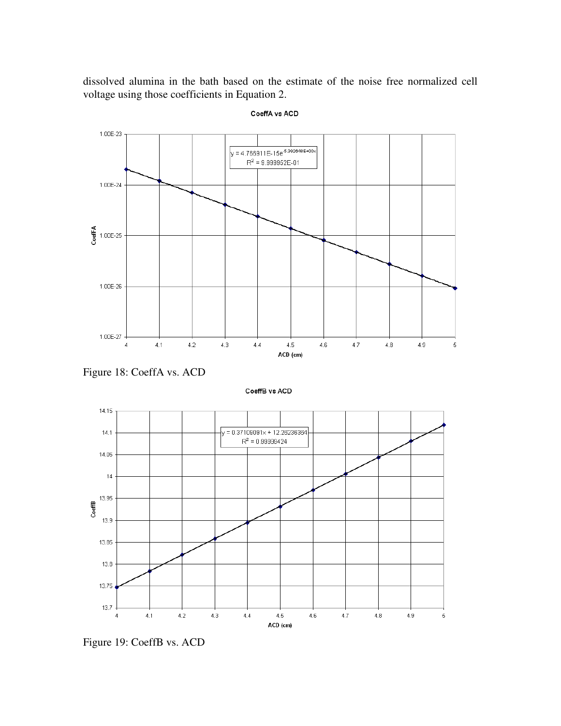dissolved alumina in the bath based on the estimate of the noise free normalized cell voltage using those coefficients in Equation 2.



CoeffA vs ACD

Figure 18: CoeffA vs. ACD

CoeffB vs ACD



Figure 19: CoeffB vs. ACD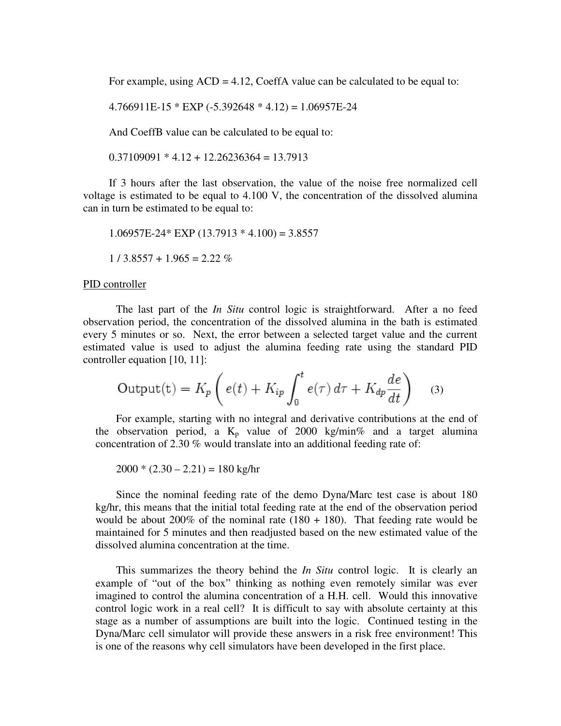For example, using  $ACD = 4.12$ , CoeffA value can be calculated to be equal to:

 $4.766911E-15 * EXP (-5.392648 * 4.12) = 1.06957E-24$ 

And CoeffB value can be calculated to be equal to:

 $0.37109091 * 4.12 + 12.26236364 = 13.7913$ 

If 3 hours after the last observation, the value of the noise free normalized cell voltage is estimated to be equal to 4.100 V, the concentration of the dissolved alumina can in turn be estimated to be equal to:

 $1.06957E-24*$  EXP  $(13.7913 * 4.100) = 3.8557$  $1 / 3.8557 + 1.965 = 2.22 \%$ 

### PID controller

The last part of the *In Situ* control logic is straightforward. After a no feed observation period, the concentration of the dissolved alumina in the bath is estimated every 5 minutes or so. Next, the error between a selected target value and the current estimated value is used to adjust the alumina feeding rate using the standard PID controller equation [10, 11]:

$$
\text{Output(t)} = K_p \left( e(t) + K_{ip} \int_0^t e(\tau) \, d\tau + K_{dp} \frac{de}{dt} \right) \tag{3}
$$

For example, starting with no integral and derivative contributions at the end of the observation period, a  $K_p$  value of 2000 kg/min% and a target alumina concentration of 2.30 % would translate into an additional feeding rate of:

 $2000 * (2.30 - 2.21) = 180$  kg/hr

Since the nominal feeding rate of the demo Dyna/Marc test case is about 180 kg/hr, this means that the initial total feeding rate at the end of the observation period would be about 200% of the nominal rate  $(180 + 180)$ . That feeding rate would be maintained for 5 minutes and then readjusted based on the new estimated value of the dissolved alumina concentration at the time.

This summarizes the theory behind the *In Situ* control logic. It is clearly an example of "out of the box" thinking as nothing even remotely similar was ever imagined to control the alumina concentration of a H.H. cell. Would this innovative control logic work in a real cell? It is difficult to say with absolute certainty at this stage as a number of assumptions are built into the logic. Continued testing in the Dyna/Marc cell simulator will provide these answers in a risk free environment! This is one of the reasons why cell simulators have been developed in the first place.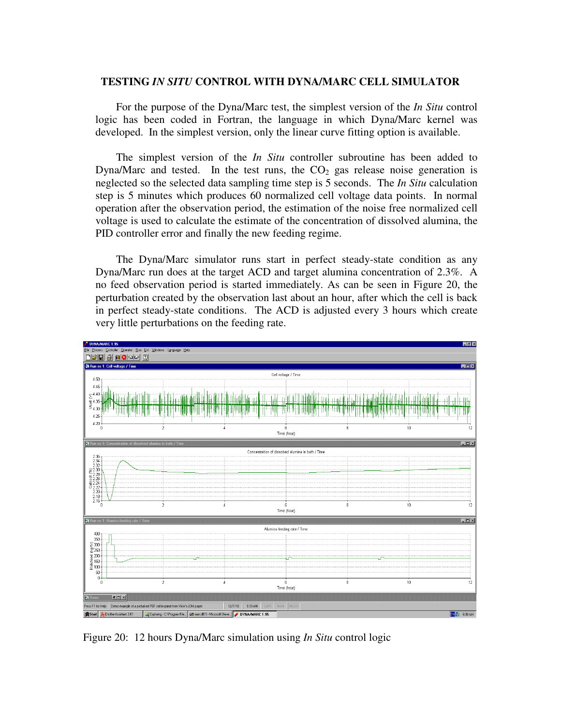# **TESTING** *IN SITU* **CONTROL WITH DYNA/MARC CELL SIMULATOR**

For the purpose of the Dyna/Marc test, the simplest version of the *In Situ* control logic has been coded in Fortran, the language in which Dyna/Marc kernel was developed. In the simplest version, only the linear curve fitting option is available.

The simplest version of the *In Situ* controller subroutine has been added to Dyna/Marc and tested. In the test runs, the  $CO<sub>2</sub>$  gas release noise generation is neglected so the selected data sampling time step is 5 seconds. The *In Situ* calculation step is 5 minutes which produces 60 normalized cell voltage data points. In normal operation after the observation period, the estimation of the noise free normalized cell voltage is used to calculate the estimate of the concentration of dissolved alumina, the PID controller error and finally the new feeding regime.

The Dyna/Marc simulator runs start in perfect steady-state condition as any Dyna/Marc run does at the target ACD and target alumina concentration of 2.3%. A no feed observation period is started immediately. As can be seen in Figure 20, the perturbation created by the observation last about an hour, after which the cell is back in perfect steady-state conditions. The ACD is adjusted every 3 hours which create very little perturbations on the feeding rate.



Figure 20: 12 hours Dyna/Marc simulation using *In Situ* control logic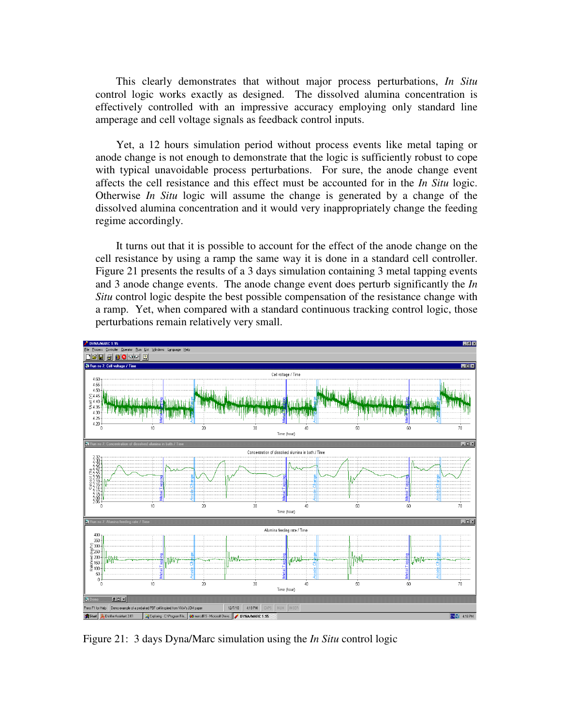This clearly demonstrates that without major process perturbations, *In Situ* control logic works exactly as designed. The dissolved alumina concentration is effectively controlled with an impressive accuracy employing only standard line amperage and cell voltage signals as feedback control inputs.

Yet, a 12 hours simulation period without process events like metal taping or anode change is not enough to demonstrate that the logic is sufficiently robust to cope with typical unavoidable process perturbations. For sure, the anode change event affects the cell resistance and this effect must be accounted for in the *In Situ* logic. Otherwise *In Situ* logic will assume the change is generated by a change of the dissolved alumina concentration and it would very inappropriately change the feeding regime accordingly.

It turns out that it is possible to account for the effect of the anode change on the cell resistance by using a ramp the same way it is done in a standard cell controller. Figure 21 presents the results of a 3 days simulation containing 3 metal tapping events and 3 anode change events. The anode change event does perturb significantly the *In Situ* control logic despite the best possible compensation of the resistance change with a ramp. Yet, when compared with a standard continuous tracking control logic, those perturbations remain relatively very small.



Figure 21: 3 days Dyna/Marc simulation using the *In Situ* control logic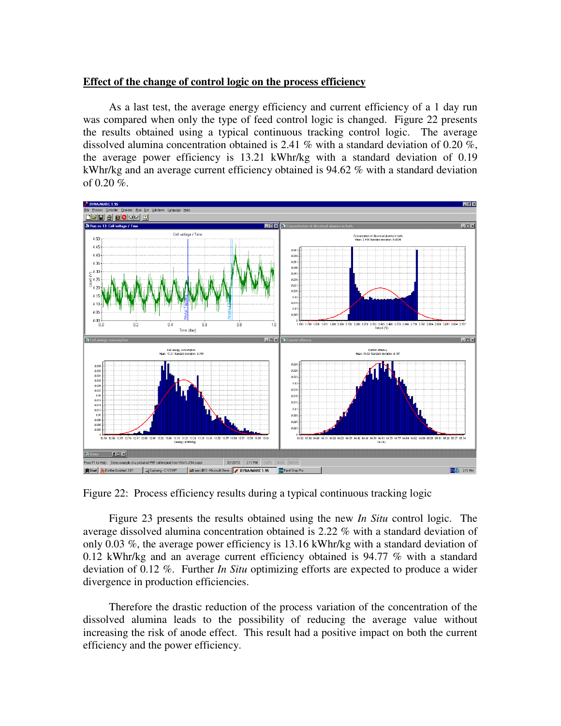# **Effect of the change of control logic on the process efficiency**

As a last test, the average energy efficiency and current efficiency of a 1 day run was compared when only the type of feed control logic is changed. Figure 22 presents the results obtained using a typical continuous tracking control logic. The average dissolved alumina concentration obtained is 2.41 % with a standard deviation of 0.20 %, the average power efficiency is 13.21 kWhr/kg with a standard deviation of 0.19 kWhr/kg and an average current efficiency obtained is 94.62 % with a standard deviation of 0.20 %.



Figure 22: Process efficiency results during a typical continuous tracking logic

Figure 23 presents the results obtained using the new *In Situ* control logic. The average dissolved alumina concentration obtained is 2.22 % with a standard deviation of only 0.03 %, the average power efficiency is 13.16 kWhr/kg with a standard deviation of 0.12 kWhr/kg and an average current efficiency obtained is 94.77 % with a standard deviation of 0.12 %. Further *In Situ* optimizing efforts are expected to produce a wider divergence in production efficiencies.

Therefore the drastic reduction of the process variation of the concentration of the dissolved alumina leads to the possibility of reducing the average value without increasing the risk of anode effect. This result had a positive impact on both the current efficiency and the power efficiency.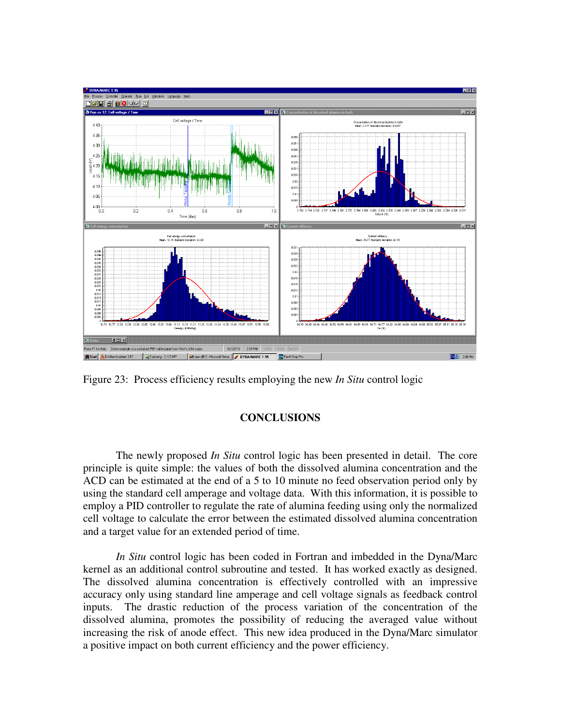

Figure 23: Process efficiency results employing the new *In Situ* control logic

# **CONCLUSIONS**

The newly proposed *In Situ* control logic has been presented in detail. The core principle is quite simple: the values of both the dissolved alumina concentration and the ACD can be estimated at the end of a 5 to 10 minute no feed observation period only by using the standard cell amperage and voltage data. With this information, it is possible to employ a PID controller to regulate the rate of alumina feeding using only the normalized cell voltage to calculate the error between the estimated dissolved alumina concentration and a target value for an extended period of time.

*In Situ* control logic has been coded in Fortran and imbedded in the Dyna/Marc kernel as an additional control subroutine and tested. It has worked exactly as designed. The dissolved alumina concentration is effectively controlled with an impressive accuracy only using standard line amperage and cell voltage signals as feedback control inputs. The drastic reduction of the process variation of the concentration of the dissolved alumina, promotes the possibility of reducing the averaged value without increasing the risk of anode effect. This new idea produced in the Dyna/Marc simulator a positive impact on both current efficiency and the power efficiency.